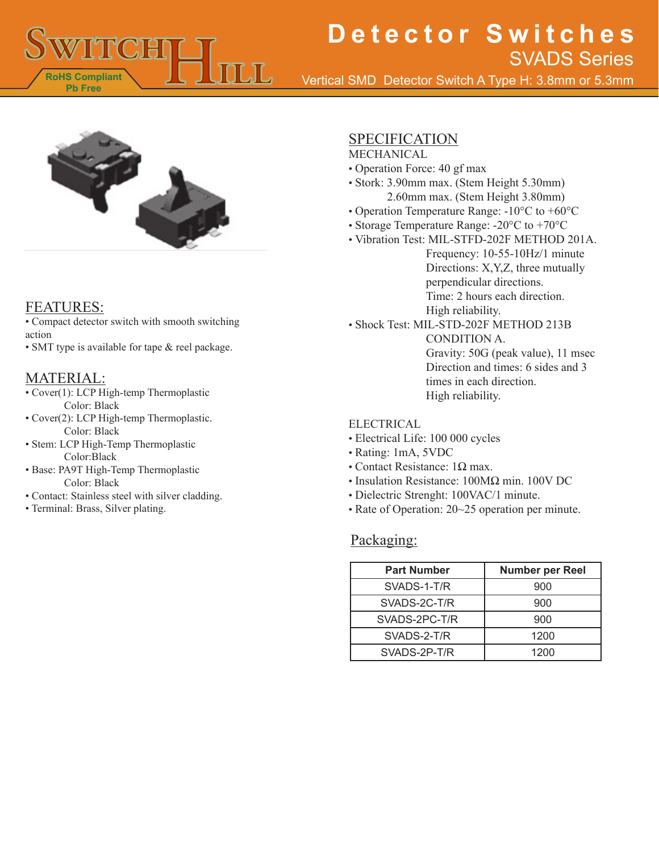

Vertical SMD Detector Switch A Type H: 3.8mm or 5.3mm



### FEATURES:

• Compact detector switch with smooth switching action

• SMT type is available for tape & reel package.

### MATERIAL:

- Cover(1): LCP High-temp Thermoplastic Color: Black
- Cover(2): LCP High-temp Thermoplastic. Color: Black
- Stem: LCP High-Temp Thermoplastic Color:Black
- Base: PA9T High-Temp Thermoplastic Color: Black
- Contact: Stainless steel with silver cladding.
- Terminal: Brass, Silver plating.

### **SPECIFICATION**

- MECHANICAL
- Operation Force: 40 gf max
- Stork: 3.90mm max. (Stem Height 5.30mm) 2.60mm max. (Stem Height 3.80mm)
- Operation Temperature Range: -10°C to +60°C
- Storage Temperature Range: -20°C to +70°C
- Vibration Test: MIL-STFD-202F METHOD 201A. Frequency: 10-55-10Hz/1 minute
	- Directions: X,Y,Z, three mutually perpendicular directions. Time: 2 hours each direction. High reliability.
- Shock Test: MIL-STD-202F METHOD 213B CONDITION A.

Gravity: 50G (peak value), 11 msec Direction and times: 6 sides and 3 times in each direction. High reliability.

#### ELECTRICAL

- Electrical Life: 100 000 cycles
- Rating: 1mA, 5VDC
- Contact Resistance:  $1Ω$  max.
- Insulation Resistance: 100MΩ min. 100V DC
- Dielectric Strenght: 100VAC/1 minute.
- Rate of Operation: 20~25 operation per minute.

#### Packaging:

| <b>Part Number</b> | <b>Number per Reel</b> |
|--------------------|------------------------|
| SVADS-1-T/R        | 900                    |
| SVADS-2C-T/R       | 900                    |
| SVADS-2PC-T/R      | 900                    |
| SVADS-2-T/R        | 1200                   |
| SVADS-2P-T/R       | 1200                   |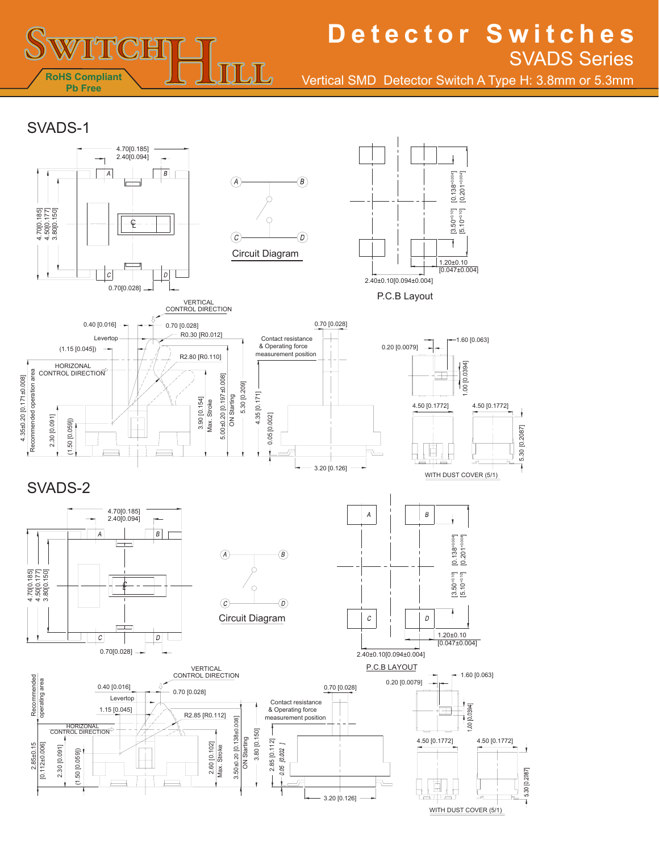

Vertical SMD Detector Switch A Type H: 3.8mm or 5.3mm

SVADS-1

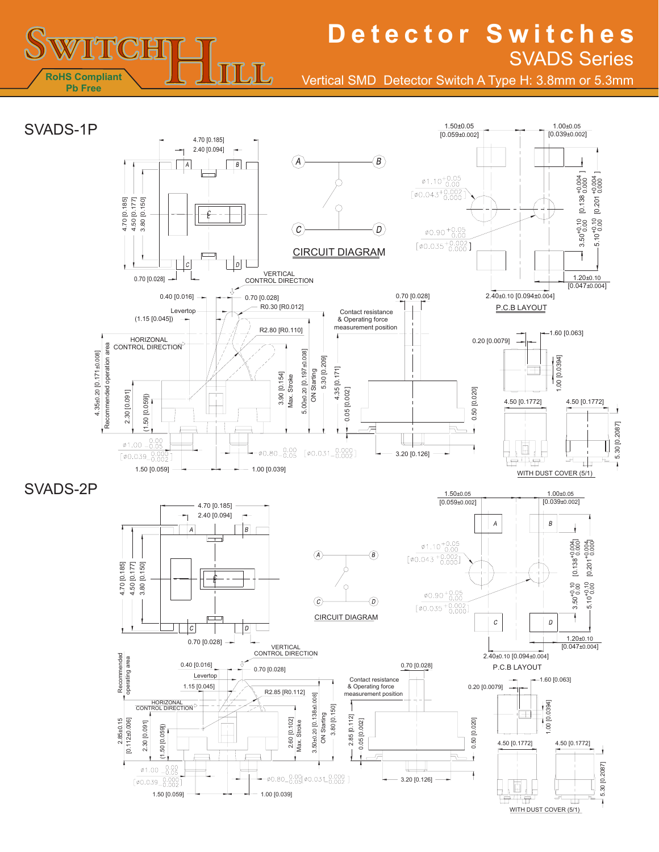

Vertical SMD Detector Switch A Type H: 3.8mm or 5.3mm

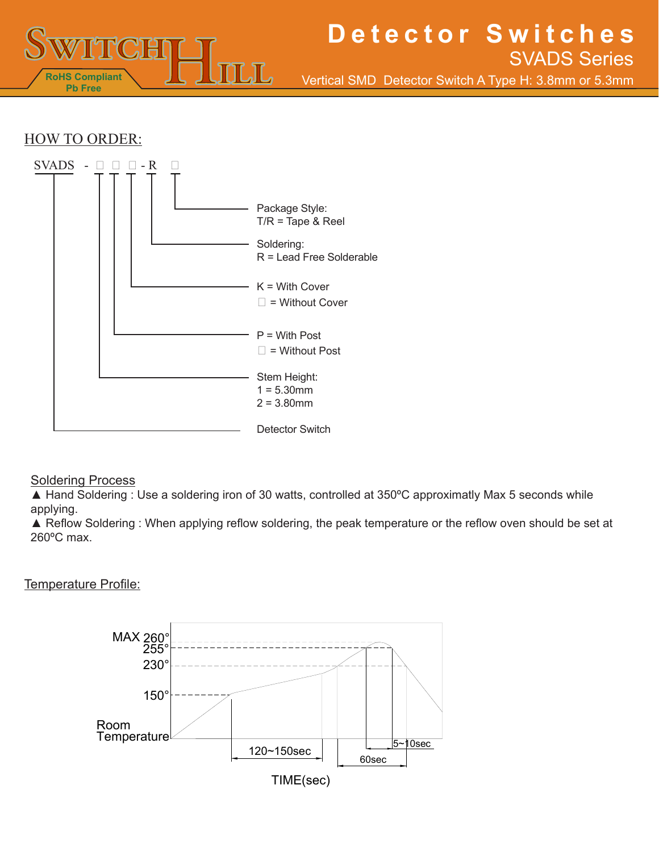

Vertical SMD Detector Switch A Type H: 3.8mm or 5.3mm

### HOW TO ORDER:



#### **Soldering Process**

▲ Hand Soldering : Use a soldering iron of 30 watts, controlled at 350°C approximatly Max 5 seconds while applying.

▲ Reflow Soldering : When applying reflow soldering, the peak temperature or the reflow oven should be set at 260ºC max.

#### Temperature Profile: